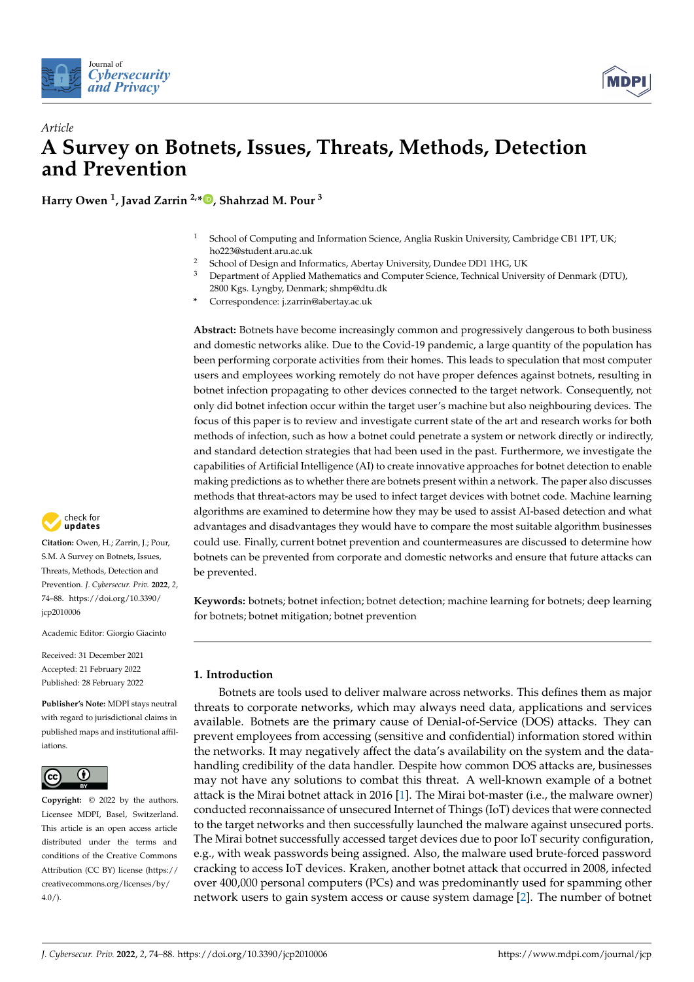



# *Article* **A Survey on Botnets, Issues, Threats, Methods, Detection and Prevention**

**Harry Owen <sup>1</sup> , Javad Zarrin 2,[\\*](https://orcid.org/0000-0002-1558-1907) , Shahrzad M. Pour <sup>3</sup>**

- <sup>1</sup> School of Computing and Information Science, Anglia Ruskin University, Cambridge CB1 1PT, UK; ho223@student.aru.ac.uk
- <sup>2</sup> School of Design and Informatics, Abertay University, Dundee DD1 1HG, UK<br><sup>3</sup> Department of Applied Mathematics and Computer Science Technical Univers
- <sup>3</sup> Department of Applied Mathematics and Computer Science, Technical University of Denmark (DTU),
- 2800 Kgs. Lyngby, Denmark; shmp@dtu.dk
- **\*** Correspondence: j.zarrin@abertay.ac.uk

**Abstract:** Botnets have become increasingly common and progressively dangerous to both business and domestic networks alike. Due to the Covid-19 pandemic, a large quantity of the population has been performing corporate activities from their homes. This leads to speculation that most computer users and employees working remotely do not have proper defences against botnets, resulting in botnet infection propagating to other devices connected to the target network. Consequently, not only did botnet infection occur within the target user's machine but also neighbouring devices. The focus of this paper is to review and investigate current state of the art and research works for both methods of infection, such as how a botnet could penetrate a system or network directly or indirectly, and standard detection strategies that had been used in the past. Furthermore, we investigate the capabilities of Artificial Intelligence (AI) to create innovative approaches for botnet detection to enable making predictions as to whether there are botnets present within a network. The paper also discusses methods that threat-actors may be used to infect target devices with botnet code. Machine learning algorithms are examined to determine how they may be used to assist AI-based detection and what advantages and disadvantages they would have to compare the most suitable algorithm businesses could use. Finally, current botnet prevention and countermeasures are discussed to determine how botnets can be prevented from corporate and domestic networks and ensure that future attacks can be prevented.

**Keywords:** botnets; botnet infection; botnet detection; machine learning for botnets; deep learning for botnets; botnet mitigation; botnet prevention

## **1. Introduction**

Botnets are tools used to deliver malware across networks. This defines them as major threats to corporate networks, which may always need data, applications and services available. Botnets are the primary cause of Denial-of-Service (DOS) attacks. They can prevent employees from accessing (sensitive and confidential) information stored within the networks. It may negatively affect the data's availability on the system and the datahandling credibility of the data handler. Despite how common DOS attacks are, businesses may not have any solutions to combat this threat. A well-known example of a botnet attack is the Mirai botnet attack in 2016 [\[1\]](#page-12-0). The Mirai bot-master (i.e., the malware owner) conducted reconnaissance of unsecured Internet of Things (IoT) devices that were connected to the target networks and then successfully launched the malware against unsecured ports. The Mirai botnet successfully accessed target devices due to poor IoT security configuration, e.g., with weak passwords being assigned. Also, the malware used brute-forced password cracking to access IoT devices. Kraken, another botnet attack that occurred in 2008, infected over 400,000 personal computers (PCs) and was predominantly used for spamming other network users to gain system access or cause system damage [\[2\]](#page-12-1). The number of botnet



**Citation:** Owen, H.; Zarrin, J.; Pour, S.M. A Survey on Botnets, Issues, Threats, Methods, Detection and Prevention. *J. Cybersecur. Priv.* **2022**, *2*, 74–88. [https://doi.org/10.3390/](https://doi.org/10.3390/jcp2010006) [jcp2010006](https://doi.org/10.3390/jcp2010006)

Academic Editor: Giorgio Giacinto

Received: 31 December 2021 Accepted: 21 February 2022 Published: 28 February 2022

**Publisher's Note:** MDPI stays neutral with regard to jurisdictional claims in published maps and institutional affiliations.



**Copyright:** © 2022 by the authors. Licensee MDPI, Basel, Switzerland. This article is an open access article distributed under the terms and conditions of the Creative Commons Attribution (CC BY) license [\(https://](https://creativecommons.org/licenses/by/4.0/) [creativecommons.org/licenses/by/](https://creativecommons.org/licenses/by/4.0/)  $4.0/$ ).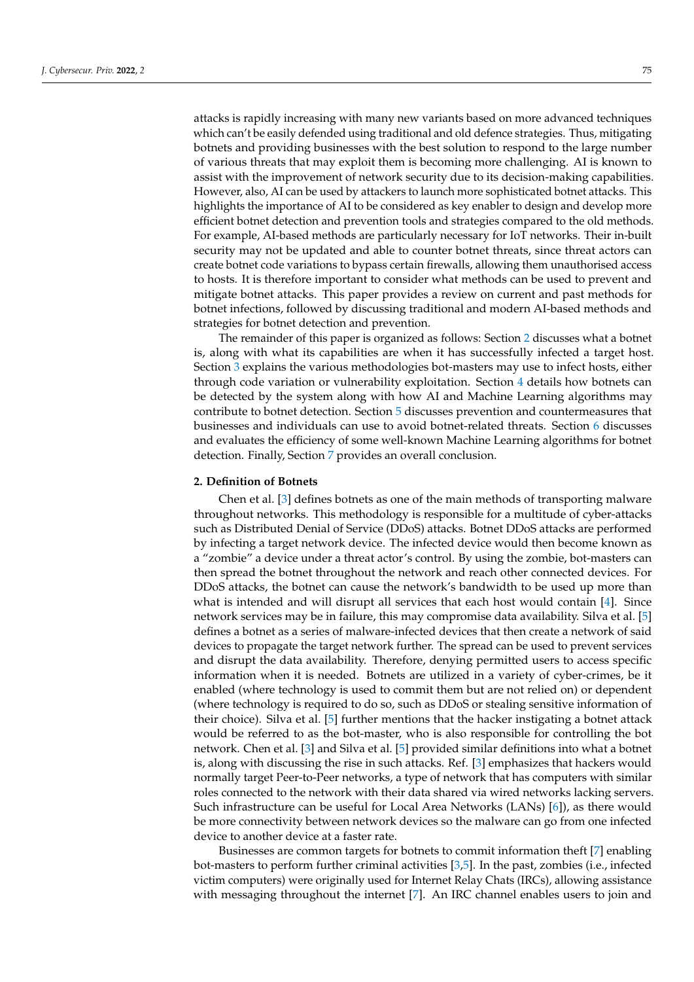attacks is rapidly increasing with many new variants based on more advanced techniques which can't be easily defended using traditional and old defence strategies. Thus, mitigating botnets and providing businesses with the best solution to respond to the large number of various threats that may exploit them is becoming more challenging. AI is known to assist with the improvement of network security due to its decision-making capabilities. However, also, AI can be used by attackers to launch more sophisticated botnet attacks. This highlights the importance of AI to be considered as key enabler to design and develop more efficient botnet detection and prevention tools and strategies compared to the old methods. For example, AI-based methods are particularly necessary for IoT networks. Their in-built security may not be updated and able to counter botnet threats, since threat actors can create botnet code variations to bypass certain firewalls, allowing them unauthorised access to hosts. It is therefore important to consider what methods can be used to prevent and mitigate botnet attacks. This paper provides a review on current and past methods for botnet infections, followed by discussing traditional and modern AI-based methods and strategies for botnet detection and prevention.

The remainder of this paper is organized as follows: Section [2](#page-1-0) discusses what a botnet is, along with what its capabilities are when it has successfully infected a target host. Section [3](#page-2-0) explains the various methodologies bot-masters may use to infect hosts, either through code variation or vulnerability exploitation. Section [4](#page-3-0) details how botnets can be detected by the system along with how AI and Machine Learning algorithms may contribute to botnet detection. Section [5](#page-9-0) discusses prevention and countermeasures that businesses and individuals can use to avoid botnet-related threats. Section [6](#page-10-0) discusses and evaluates the efficiency of some well-known Machine Learning algorithms for botnet detection. Finally, Section [7](#page-11-0) provides an overall conclusion.

### <span id="page-1-0"></span>**2. Definition of Botnets**

Chen et al. [\[3\]](#page-12-2) defines botnets as one of the main methods of transporting malware throughout networks. This methodology is responsible for a multitude of cyber-attacks such as Distributed Denial of Service (DDoS) attacks. Botnet DDoS attacks are performed by infecting a target network device. The infected device would then become known as a "zombie" a device under a threat actor's control. By using the zombie, bot-masters can then spread the botnet throughout the network and reach other connected devices. For DDoS attacks, the botnet can cause the network's bandwidth to be used up more than what is intended and will disrupt all services that each host would contain [\[4\]](#page-12-3). Since network services may be in failure, this may compromise data availability. Silva et al. [\[5\]](#page-12-4) defines a botnet as a series of malware-infected devices that then create a network of said devices to propagate the target network further. The spread can be used to prevent services and disrupt the data availability. Therefore, denying permitted users to access specific information when it is needed. Botnets are utilized in a variety of cyber-crimes, be it enabled (where technology is used to commit them but are not relied on) or dependent (where technology is required to do so, such as DDoS or stealing sensitive information of their choice). Silva et al. [\[5\]](#page-12-4) further mentions that the hacker instigating a botnet attack would be referred to as the bot-master, who is also responsible for controlling the bot network. Chen et al. [\[3\]](#page-12-2) and Silva et al. [\[5\]](#page-12-4) provided similar definitions into what a botnet is, along with discussing the rise in such attacks. Ref. [\[3\]](#page-12-2) emphasizes that hackers would normally target Peer-to-Peer networks, a type of network that has computers with similar roles connected to the network with their data shared via wired networks lacking servers. Such infrastructure can be useful for Local Area Networks (LANs) [\[6\]](#page-12-5)), as there would be more connectivity between network devices so the malware can go from one infected device to another device at a faster rate.

Businesses are common targets for botnets to commit information theft [\[7\]](#page-12-6) enabling bot-masters to perform further criminal activities [\[3](#page-12-2)[,5\]](#page-12-4). In the past, zombies (i.e., infected victim computers) were originally used for Internet Relay Chats (IRCs), allowing assistance with messaging throughout the internet [\[7\]](#page-12-6). An IRC channel enables users to join and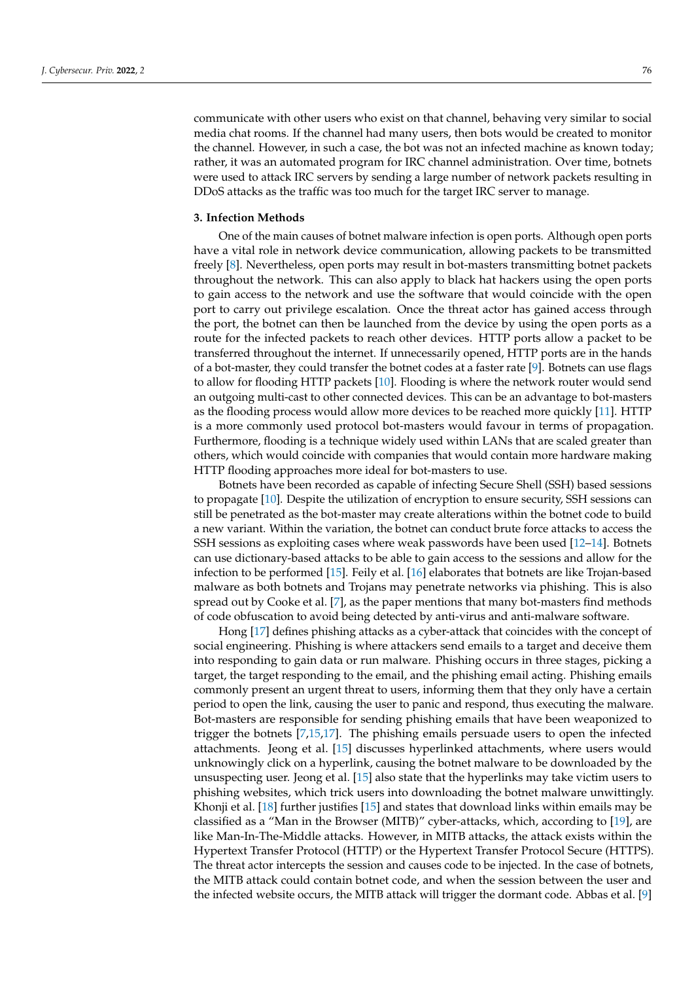communicate with other users who exist on that channel, behaving very similar to social media chat rooms. If the channel had many users, then bots would be created to monitor the channel. However, in such a case, the bot was not an infected machine as known today; rather, it was an automated program for IRC channel administration. Over time, botnets were used to attack IRC servers by sending a large number of network packets resulting in DDoS attacks as the traffic was too much for the target IRC server to manage.

#### <span id="page-2-0"></span>**3. Infection Methods**

One of the main causes of botnet malware infection is open ports. Although open ports have a vital role in network device communication, allowing packets to be transmitted freely [\[8\]](#page-12-7). Nevertheless, open ports may result in bot-masters transmitting botnet packets throughout the network. This can also apply to black hat hackers using the open ports to gain access to the network and use the software that would coincide with the open port to carry out privilege escalation. Once the threat actor has gained access through the port, the botnet can then be launched from the device by using the open ports as a route for the infected packets to reach other devices. HTTP ports allow a packet to be transferred throughout the internet. If unnecessarily opened, HTTP ports are in the hands of a bot-master, they could transfer the botnet codes at a faster rate [\[9\]](#page-12-8). Botnets can use flags to allow for flooding HTTP packets [\[10\]](#page-12-9). Flooding is where the network router would send an outgoing multi-cast to other connected devices. This can be an advantage to bot-masters as the flooding process would allow more devices to be reached more quickly [\[11\]](#page-12-10). HTTP is a more commonly used protocol bot-masters would favour in terms of propagation. Furthermore, flooding is a technique widely used within LANs that are scaled greater than others, which would coincide with companies that would contain more hardware making HTTP flooding approaches more ideal for bot-masters to use.

Botnets have been recorded as capable of infecting Secure Shell (SSH) based sessions to propagate [\[10\]](#page-12-9). Despite the utilization of encryption to ensure security, SSH sessions can still be penetrated as the bot-master may create alterations within the botnet code to build a new variant. Within the variation, the botnet can conduct brute force attacks to access the SSH sessions as exploiting cases where weak passwords have been used [\[12](#page-12-11)[–14\]](#page-12-12). Botnets can use dictionary-based attacks to be able to gain access to the sessions and allow for the infection to be performed [\[15\]](#page-12-13). Feily et al. [\[16\]](#page-12-14) elaborates that botnets are like Trojan-based malware as both botnets and Trojans may penetrate networks via phishing. This is also spread out by Cooke et al. [\[7\]](#page-12-6), as the paper mentions that many bot-masters find methods of code obfuscation to avoid being detected by anti-virus and anti-malware software.

Hong [\[17\]](#page-12-15) defines phishing attacks as a cyber-attack that coincides with the concept of social engineering. Phishing is where attackers send emails to a target and deceive them into responding to gain data or run malware. Phishing occurs in three stages, picking a target, the target responding to the email, and the phishing email acting. Phishing emails commonly present an urgent threat to users, informing them that they only have a certain period to open the link, causing the user to panic and respond, thus executing the malware. Bot-masters are responsible for sending phishing emails that have been weaponized to trigger the botnets [\[7](#page-12-6)[,15,](#page-12-13)[17\]](#page-12-15). The phishing emails persuade users to open the infected attachments. Jeong et al. [\[15\]](#page-12-13) discusses hyperlinked attachments, where users would unknowingly click on a hyperlink, causing the botnet malware to be downloaded by the unsuspecting user. Jeong et al. [\[15\]](#page-12-13) also state that the hyperlinks may take victim users to phishing websites, which trick users into downloading the botnet malware unwittingly. Khonji et al. [\[18\]](#page-12-16) further justifies [\[15\]](#page-12-13) and states that download links within emails may be classified as a "Man in the Browser (MITB)" cyber-attacks, which, according to [\[19\]](#page-12-17), are like Man-In-The-Middle attacks. However, in MITB attacks, the attack exists within the Hypertext Transfer Protocol (HTTP) or the Hypertext Transfer Protocol Secure (HTTPS). The threat actor intercepts the session and causes code to be injected. In the case of botnets, the MITB attack could contain botnet code, and when the session between the user and the infected website occurs, the MITB attack will trigger the dormant code. Abbas et al. [\[9\]](#page-12-8)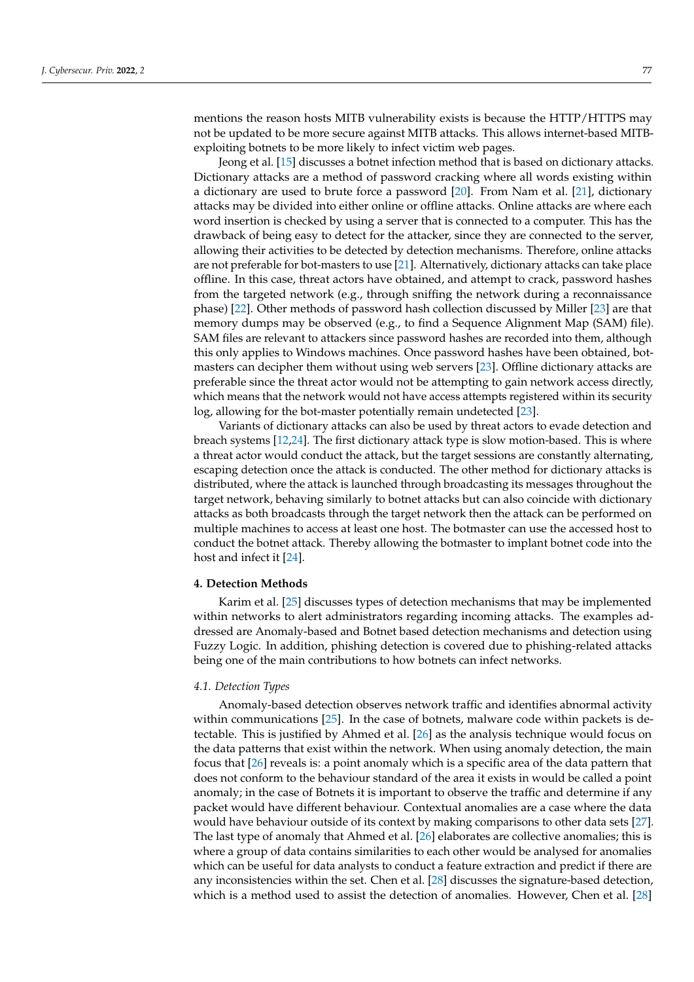mentions the reason hosts MITB vulnerability exists is because the HTTP/HTTPS may not be updated to be more secure against MITB attacks. This allows internet-based MITBexploiting botnets to be more likely to infect victim web pages.

Jeong et al. [\[15\]](#page-12-13) discusses a botnet infection method that is based on dictionary attacks. Dictionary attacks are a method of password cracking where all words existing within a dictionary are used to brute force a password [\[20\]](#page-12-18). From Nam et al. [\[21\]](#page-12-19), dictionary attacks may be divided into either online or offline attacks. Online attacks are where each word insertion is checked by using a server that is connected to a computer. This has the drawback of being easy to detect for the attacker, since they are connected to the server, allowing their activities to be detected by detection mechanisms. Therefore, online attacks are not preferable for bot-masters to use [\[21\]](#page-12-19). Alternatively, dictionary attacks can take place offline. In this case, threat actors have obtained, and attempt to crack, password hashes from the targeted network (e.g., through sniffing the network during a reconnaissance phase) [\[22\]](#page-12-20). Other methods of password hash collection discussed by Miller [\[23\]](#page-12-21) are that memory dumps may be observed (e.g., to find a Sequence Alignment Map (SAM) file). SAM files are relevant to attackers since password hashes are recorded into them, although this only applies to Windows machines. Once password hashes have been obtained, botmasters can decipher them without using web servers [\[23\]](#page-12-21). Offline dictionary attacks are preferable since the threat actor would not be attempting to gain network access directly, which means that the network would not have access attempts registered within its security log, allowing for the bot-master potentially remain undetected [\[23\]](#page-12-21).

Variants of dictionary attacks can also be used by threat actors to evade detection and breach systems [\[12,](#page-12-11)[24\]](#page-12-22). The first dictionary attack type is slow motion-based. This is where a threat actor would conduct the attack, but the target sessions are constantly alternating, escaping detection once the attack is conducted. The other method for dictionary attacks is distributed, where the attack is launched through broadcasting its messages throughout the target network, behaving similarly to botnet attacks but can also coincide with dictionary attacks as both broadcasts through the target network then the attack can be performed on multiple machines to access at least one host. The botmaster can use the accessed host to conduct the botnet attack. Thereby allowing the botmaster to implant botnet code into the host and infect it [\[24\]](#page-12-22).

## <span id="page-3-0"></span>**4. Detection Methods**

Karim et al. [\[25\]](#page-12-23) discusses types of detection mechanisms that may be implemented within networks to alert administrators regarding incoming attacks. The examples addressed are Anomaly-based and Botnet based detection mechanisms and detection using Fuzzy Logic. In addition, phishing detection is covered due to phishing-related attacks being one of the main contributions to how botnets can infect networks.

#### *4.1. Detection Types*

Anomaly-based detection observes network traffic and identifies abnormal activity within communications [\[25\]](#page-12-23). In the case of botnets, malware code within packets is detectable. This is justified by Ahmed et al. [\[26\]](#page-12-24) as the analysis technique would focus on the data patterns that exist within the network. When using anomaly detection, the main focus that [\[26\]](#page-12-24) reveals is: a point anomaly which is a specific area of the data pattern that does not conform to the behaviour standard of the area it exists in would be called a point anomaly; in the case of Botnets it is important to observe the traffic and determine if any packet would have different behaviour. Contextual anomalies are a case where the data would have behaviour outside of its context by making comparisons to other data sets [\[27\]](#page-12-25). The last type of anomaly that Ahmed et al. [\[26\]](#page-12-24) elaborates are collective anomalies; this is where a group of data contains similarities to each other would be analysed for anomalies which can be useful for data analysts to conduct a feature extraction and predict if there are any inconsistencies within the set. Chen et al. [\[28\]](#page-12-26) discusses the signature-based detection, which is a method used to assist the detection of anomalies. However, Chen et al. [\[28\]](#page-12-26)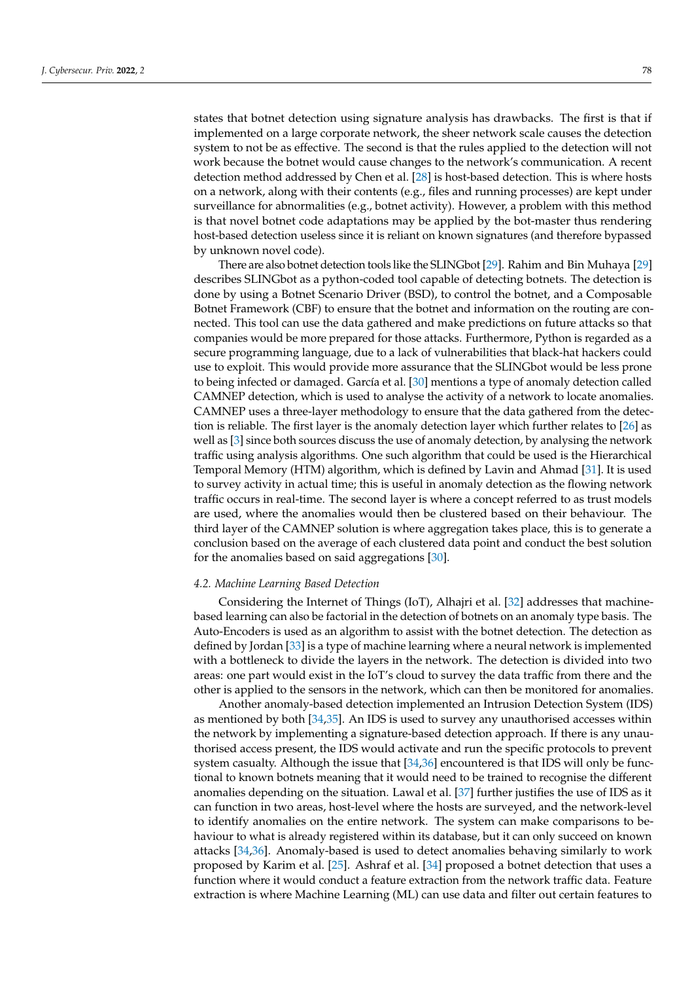states that botnet detection using signature analysis has drawbacks. The first is that if implemented on a large corporate network, the sheer network scale causes the detection system to not be as effective. The second is that the rules applied to the detection will not work because the botnet would cause changes to the network's communication. A recent detection method addressed by Chen et al. [\[28\]](#page-12-26) is host-based detection. This is where hosts on a network, along with their contents (e.g., files and running processes) are kept under surveillance for abnormalities (e.g., botnet activity). However, a problem with this method is that novel botnet code adaptations may be applied by the bot-master thus rendering host-based detection useless since it is reliant on known signatures (and therefore bypassed by unknown novel code).

There are also botnet detection tools like the SLINGbot [\[29\]](#page-12-27). Rahim and Bin Muhaya [\[29\]](#page-12-27) describes SLINGbot as a python-coded tool capable of detecting botnets. The detection is done by using a Botnet Scenario Driver (BSD), to control the botnet, and a Composable Botnet Framework (CBF) to ensure that the botnet and information on the routing are connected. This tool can use the data gathered and make predictions on future attacks so that companies would be more prepared for those attacks. Furthermore, Python is regarded as a secure programming language, due to a lack of vulnerabilities that black-hat hackers could use to exploit. This would provide more assurance that the SLINGbot would be less prone to being infected or damaged. García et al. [\[30\]](#page-12-28) mentions a type of anomaly detection called CAMNEP detection, which is used to analyse the activity of a network to locate anomalies. CAMNEP uses a three-layer methodology to ensure that the data gathered from the detection is reliable. The first layer is the anomaly detection layer which further relates to [\[26\]](#page-12-24) as well as [\[3\]](#page-12-2) since both sources discuss the use of anomaly detection, by analysing the network traffic using analysis algorithms. One such algorithm that could be used is the Hierarchical Temporal Memory (HTM) algorithm, which is defined by Lavin and Ahmad [\[31\]](#page-13-0). It is used to survey activity in actual time; this is useful in anomaly detection as the flowing network traffic occurs in real-time. The second layer is where a concept referred to as trust models are used, where the anomalies would then be clustered based on their behaviour. The third layer of the CAMNEP solution is where aggregation takes place, this is to generate a conclusion based on the average of each clustered data point and conduct the best solution for the anomalies based on said aggregations [\[30\]](#page-12-28).

#### *4.2. Machine Learning Based Detection*

Considering the Internet of Things (IoT), Alhajri et al. [\[32\]](#page-13-1) addresses that machinebased learning can also be factorial in the detection of botnets on an anomaly type basis. The Auto-Encoders is used as an algorithm to assist with the botnet detection. The detection as defined by Jordan [\[33\]](#page-13-2) is a type of machine learning where a neural network is implemented with a bottleneck to divide the layers in the network. The detection is divided into two areas: one part would exist in the IoT's cloud to survey the data traffic from there and the other is applied to the sensors in the network, which can then be monitored for anomalies.

Another anomaly-based detection implemented an Intrusion Detection System (IDS) as mentioned by both [\[34,](#page-13-3)[35\]](#page-13-4). An IDS is used to survey any unauthorised accesses within the network by implementing a signature-based detection approach. If there is any unauthorised access present, the IDS would activate and run the specific protocols to prevent system casualty. Although the issue that [\[34,](#page-13-3)[36\]](#page-13-5) encountered is that IDS will only be functional to known botnets meaning that it would need to be trained to recognise the different anomalies depending on the situation. Lawal et al. [\[37\]](#page-13-6) further justifies the use of IDS as it can function in two areas, host-level where the hosts are surveyed, and the network-level to identify anomalies on the entire network. The system can make comparisons to behaviour to what is already registered within its database, but it can only succeed on known attacks [\[34,](#page-13-3)[36\]](#page-13-5). Anomaly-based is used to detect anomalies behaving similarly to work proposed by Karim et al. [\[25\]](#page-12-23). Ashraf et al. [\[34\]](#page-13-3) proposed a botnet detection that uses a function where it would conduct a feature extraction from the network traffic data. Feature extraction is where Machine Learning (ML) can use data and filter out certain features to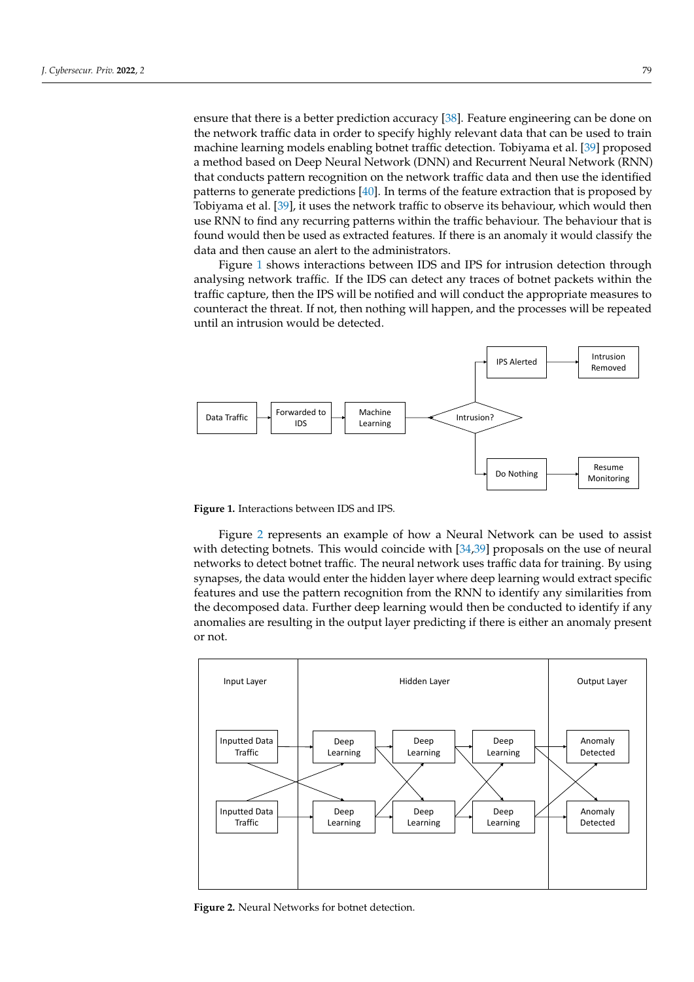ensure that there is a better prediction accuracy [\[38\]](#page-13-7). Feature engineering can be done on the network traffic data in order to specify highly relevant data that can be used to train machine learning models enabling botnet traffic detection. Tobiyama et al. [\[39\]](#page-13-8) proposed a method based on Deep Neural Network (DNN) and Recurrent Neural Network (RNN) that conducts pattern recognition on the network traffic data and then use the identified patterns to generate predictions [\[40\]](#page-13-9). In terms of the feature extraction that is proposed by Tobiyama et al. [\[39\]](#page-13-8), it uses the network traffic to observe its behaviour, which would then use RNN to find any recurring patterns within the traffic behaviour. The behaviour that is found would then be used as extracted features. If there is an anomaly it would classify the data and then cause an alert to the administrators.

Figure [1](#page-5-0) shows interactions between IDS and IPS for intrusion detection through analysing network traffic. If the IDS can detect any traces of botnet packets within the traffic capture, then the IPS will be notified and will conduct the appropriate measures to counteract the threat. If not, then nothing will happen, and the processes will be repeated until an intrusion would be detected.

<span id="page-5-0"></span>

**Figure 1.** Interactions between IDS and IPS.

Figure [2](#page-5-1) represents an example of how a Neural Network can be used to assist with detecting botnets. This would coincide with [\[34](#page-13-3)[,39\]](#page-13-8) proposals on the use of neural networks to detect botnet traffic. The neural network uses traffic data for training. By using synapses, the data would enter the hidden layer where deep learning would extract specific features and use the pattern recognition from the RNN to identify any similarities from the decomposed data. Further deep learning would then be conducted to identify if any anomalies are resulting in the output layer predicting if there is either an anomaly present or not.

<span id="page-5-1"></span>

**Figure 2.** Neural Networks for botnet detection.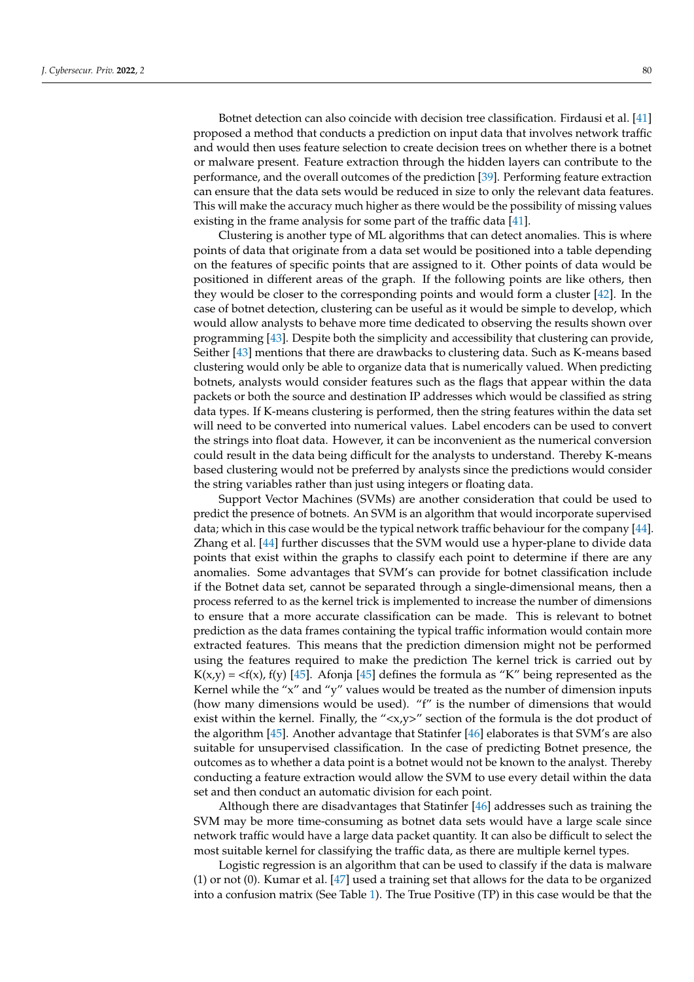Botnet detection can also coincide with decision tree classification. Firdausi et al. [\[41\]](#page-13-10) proposed a method that conducts a prediction on input data that involves network traffic and would then uses feature selection to create decision trees on whether there is a botnet or malware present. Feature extraction through the hidden layers can contribute to the performance, and the overall outcomes of the prediction [\[39\]](#page-13-8). Performing feature extraction can ensure that the data sets would be reduced in size to only the relevant data features. This will make the accuracy much higher as there would be the possibility of missing values existing in the frame analysis for some part of the traffic data [\[41\]](#page-13-10).

Clustering is another type of ML algorithms that can detect anomalies. This is where points of data that originate from a data set would be positioned into a table depending on the features of specific points that are assigned to it. Other points of data would be positioned in different areas of the graph. If the following points are like others, then they would be closer to the corresponding points and would form a cluster [\[42\]](#page-13-11). In the case of botnet detection, clustering can be useful as it would be simple to develop, which would allow analysts to behave more time dedicated to observing the results shown over programming [\[43\]](#page-13-12). Despite both the simplicity and accessibility that clustering can provide, Seither [\[43\]](#page-13-12) mentions that there are drawbacks to clustering data. Such as K-means based clustering would only be able to organize data that is numerically valued. When predicting botnets, analysts would consider features such as the flags that appear within the data packets or both the source and destination IP addresses which would be classified as string data types. If K-means clustering is performed, then the string features within the data set will need to be converted into numerical values. Label encoders can be used to convert the strings into float data. However, it can be inconvenient as the numerical conversion could result in the data being difficult for the analysts to understand. Thereby K-means based clustering would not be preferred by analysts since the predictions would consider the string variables rather than just using integers or floating data.

Support Vector Machines (SVMs) are another consideration that could be used to predict the presence of botnets. An SVM is an algorithm that would incorporate supervised data; which in this case would be the typical network traffic behaviour for the company [\[44\]](#page-13-13). Zhang et al. [\[44\]](#page-13-13) further discusses that the SVM would use a hyper-plane to divide data points that exist within the graphs to classify each point to determine if there are any anomalies. Some advantages that SVM's can provide for botnet classification include if the Botnet data set, cannot be separated through a single-dimensional means, then a process referred to as the kernel trick is implemented to increase the number of dimensions to ensure that a more accurate classification can be made. This is relevant to botnet prediction as the data frames containing the typical traffic information would contain more extracted features. This means that the prediction dimension might not be performed using the features required to make the prediction The kernel trick is carried out by  $K(x,y) = \langle f(x), f(y) \rangle$  [\[45\]](#page-13-14). Afonja [45] defines the formula as "K" being represented as the Kernel while the " $x$ " and "y" values would be treated as the number of dimension inputs (how many dimensions would be used). "f" is the number of dimensions that would exist within the kernel. Finally, the "<x,y>" section of the formula is the dot product of the algorithm [\[45\]](#page-13-14). Another advantage that Statinfer [\[46\]](#page-13-15) elaborates is that SVM's are also suitable for unsupervised classification. In the case of predicting Botnet presence, the outcomes as to whether a data point is a botnet would not be known to the analyst. Thereby conducting a feature extraction would allow the SVM to use every detail within the data set and then conduct an automatic division for each point.

Although there are disadvantages that Statinfer [\[46\]](#page-13-15) addresses such as training the SVM may be more time-consuming as botnet data sets would have a large scale since network traffic would have a large data packet quantity. It can also be difficult to select the most suitable kernel for classifying the traffic data, as there are multiple kernel types.

Logistic regression is an algorithm that can be used to classify if the data is malware (1) or not (0). Kumar et al. [\[47\]](#page-13-16) used a training set that allows for the data to be organized into a confusion matrix (See Table [1\)](#page-7-0). The True Positive (TP) in this case would be that the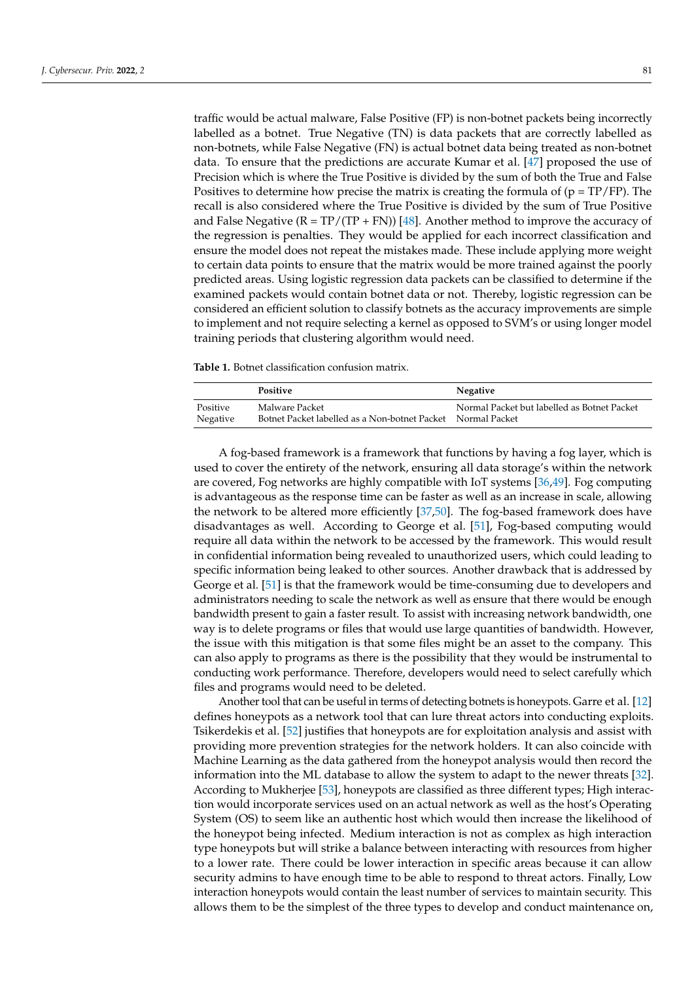traffic would be actual malware, False Positive (FP) is non-botnet packets being incorrectly labelled as a botnet. True Negative (TN) is data packets that are correctly labelled as non-botnets, while False Negative (FN) is actual botnet data being treated as non-botnet data. To ensure that the predictions are accurate Kumar et al. [\[47\]](#page-13-16) proposed the use of Precision which is where the True Positive is divided by the sum of both the True and False Positives to determine how precise the matrix is creating the formula of  $(p = TP/FP)$ . The recall is also considered where the True Positive is divided by the sum of True Positive and False Negative  $(R = TP/(TP + FN))$  [\[48\]](#page-13-17). Another method to improve the accuracy of the regression is penalties. They would be applied for each incorrect classification and ensure the model does not repeat the mistakes made. These include applying more weight to certain data points to ensure that the matrix would be more trained against the poorly predicted areas. Using logistic regression data packets can be classified to determine if the examined packets would contain botnet data or not. Thereby, logistic regression can be considered an efficient solution to classify botnets as the accuracy improvements are simple to implement and not require selecting a kernel as opposed to SVM's or using longer model training periods that clustering algorithm would need.

<span id="page-7-0"></span>**Table 1.** Botnet classification confusion matrix.

|          | Positive                                      | Negative                                    |
|----------|-----------------------------------------------|---------------------------------------------|
| Positive | Malware Packet                                | Normal Packet but labelled as Botnet Packet |
| Negative | Botnet Packet labelled as a Non-botnet Packet | Normal Packet                               |

A fog-based framework is a framework that functions by having a fog layer, which is used to cover the entirety of the network, ensuring all data storage's within the network are covered, Fog networks are highly compatible with IoT systems [\[36,](#page-13-5)[49\]](#page-13-18). Fog computing is advantageous as the response time can be faster as well as an increase in scale, allowing the network to be altered more efficiently [\[37,](#page-13-6)[50\]](#page-13-19). The fog-based framework does have disadvantages as well. According to George et al. [\[51\]](#page-13-20), Fog-based computing would require all data within the network to be accessed by the framework. This would result in confidential information being revealed to unauthorized users, which could leading to specific information being leaked to other sources. Another drawback that is addressed by George et al. [\[51\]](#page-13-20) is that the framework would be time-consuming due to developers and administrators needing to scale the network as well as ensure that there would be enough bandwidth present to gain a faster result. To assist with increasing network bandwidth, one way is to delete programs or files that would use large quantities of bandwidth. However, the issue with this mitigation is that some files might be an asset to the company. This can also apply to programs as there is the possibility that they would be instrumental to conducting work performance. Therefore, developers would need to select carefully which files and programs would need to be deleted.

Another tool that can be useful in terms of detecting botnets is honeypots. Garre et al. [\[12\]](#page-12-11) defines honeypots as a network tool that can lure threat actors into conducting exploits. Tsikerdekis et al. [\[52\]](#page-13-21) justifies that honeypots are for exploitation analysis and assist with providing more prevention strategies for the network holders. It can also coincide with Machine Learning as the data gathered from the honeypot analysis would then record the information into the ML database to allow the system to adapt to the newer threats [\[32\]](#page-13-1). According to Mukherjee [\[53\]](#page-13-22), honeypots are classified as three different types; High interaction would incorporate services used on an actual network as well as the host's Operating System (OS) to seem like an authentic host which would then increase the likelihood of the honeypot being infected. Medium interaction is not as complex as high interaction type honeypots but will strike a balance between interacting with resources from higher to a lower rate. There could be lower interaction in specific areas because it can allow security admins to have enough time to be able to respond to threat actors. Finally, Low interaction honeypots would contain the least number of services to maintain security. This allows them to be the simplest of the three types to develop and conduct maintenance on,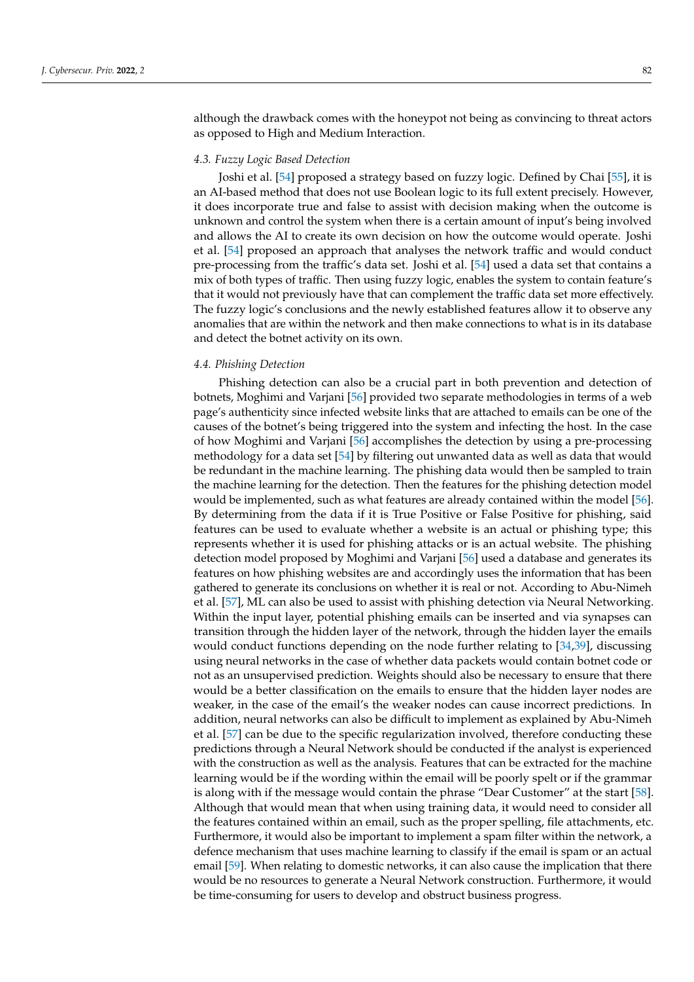although the drawback comes with the honeypot not being as convincing to threat actors as opposed to High and Medium Interaction.

#### *4.3. Fuzzy Logic Based Detection*

Joshi et al. [\[54\]](#page-13-23) proposed a strategy based on fuzzy logic. Defined by Chai [\[55\]](#page-13-24), it is an AI-based method that does not use Boolean logic to its full extent precisely. However, it does incorporate true and false to assist with decision making when the outcome is unknown and control the system when there is a certain amount of input's being involved and allows the AI to create its own decision on how the outcome would operate. Joshi et al. [\[54\]](#page-13-23) proposed an approach that analyses the network traffic and would conduct pre-processing from the traffic's data set. Joshi et al. [\[54\]](#page-13-23) used a data set that contains a mix of both types of traffic. Then using fuzzy logic, enables the system to contain feature's that it would not previously have that can complement the traffic data set more effectively. The fuzzy logic's conclusions and the newly established features allow it to observe any anomalies that are within the network and then make connections to what is in its database and detect the botnet activity on its own.

#### *4.4. Phishing Detection*

Phishing detection can also be a crucial part in both prevention and detection of botnets, Moghimi and Varjani [\[56\]](#page-13-25) provided two separate methodologies in terms of a web page's authenticity since infected website links that are attached to emails can be one of the causes of the botnet's being triggered into the system and infecting the host. In the case of how Moghimi and Varjani [\[56\]](#page-13-25) accomplishes the detection by using a pre-processing methodology for a data set [\[54\]](#page-13-23) by filtering out unwanted data as well as data that would be redundant in the machine learning. The phishing data would then be sampled to train the machine learning for the detection. Then the features for the phishing detection model would be implemented, such as what features are already contained within the model [\[56\]](#page-13-25). By determining from the data if it is True Positive or False Positive for phishing, said features can be used to evaluate whether a website is an actual or phishing type; this represents whether it is used for phishing attacks or is an actual website. The phishing detection model proposed by Moghimi and Varjani [\[56\]](#page-13-25) used a database and generates its features on how phishing websites are and accordingly uses the information that has been gathered to generate its conclusions on whether it is real or not. According to Abu-Nimeh et al. [\[57\]](#page-14-0), ML can also be used to assist with phishing detection via Neural Networking. Within the input layer, potential phishing emails can be inserted and via synapses can transition through the hidden layer of the network, through the hidden layer the emails would conduct functions depending on the node further relating to [\[34](#page-13-3)[,39\]](#page-13-8), discussing using neural networks in the case of whether data packets would contain botnet code or not as an unsupervised prediction. Weights should also be necessary to ensure that there would be a better classification on the emails to ensure that the hidden layer nodes are weaker, in the case of the email's the weaker nodes can cause incorrect predictions. In addition, neural networks can also be difficult to implement as explained by Abu-Nimeh et al. [\[57\]](#page-14-0) can be due to the specific regularization involved, therefore conducting these predictions through a Neural Network should be conducted if the analyst is experienced with the construction as well as the analysis. Features that can be extracted for the machine learning would be if the wording within the email will be poorly spelt or if the grammar is along with if the message would contain the phrase "Dear Customer" at the start [\[58\]](#page-14-1). Although that would mean that when using training data, it would need to consider all the features contained within an email, such as the proper spelling, file attachments, etc. Furthermore, it would also be important to implement a spam filter within the network, a defence mechanism that uses machine learning to classify if the email is spam or an actual email [\[59\]](#page-14-2). When relating to domestic networks, it can also cause the implication that there would be no resources to generate a Neural Network construction. Furthermore, it would be time-consuming for users to develop and obstruct business progress.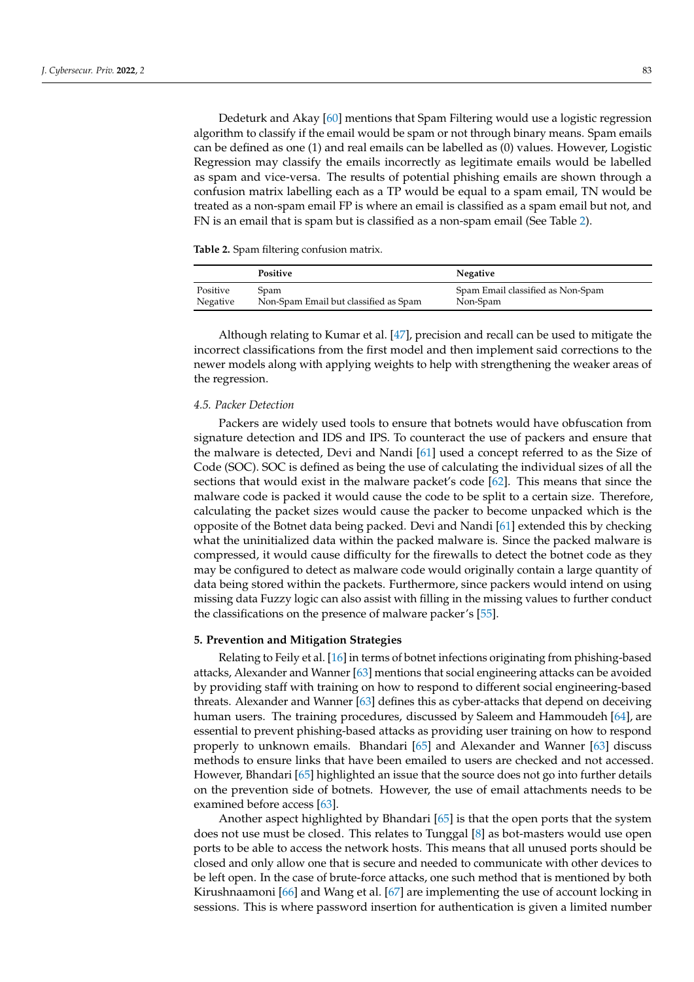Dedeturk and Akay [\[60\]](#page-14-3) mentions that Spam Filtering would use a logistic regression algorithm to classify if the email would be spam or not through binary means. Spam emails can be defined as one (1) and real emails can be labelled as (0) values. However, Logistic Regression may classify the emails incorrectly as legitimate emails would be labelled as spam and vice-versa. The results of potential phishing emails are shown through a confusion matrix labelling each as a TP would be equal to a spam email, TN would be treated as a non-spam email FP is where an email is classified as a spam email but not, and FN is an email that is spam but is classified as a non-spam email (See Table [2\)](#page-9-1).

<span id="page-9-1"></span>**Table 2.** Spam filtering confusion matrix.

|          | <b>Positive</b>                       | Negative                          |
|----------|---------------------------------------|-----------------------------------|
| Positive | Spam                                  | Spam Email classified as Non-Spam |
| Negative | Non-Spam Email but classified as Spam | Non-Spam                          |

Although relating to Kumar et al. [\[47\]](#page-13-16), precision and recall can be used to mitigate the incorrect classifications from the first model and then implement said corrections to the newer models along with applying weights to help with strengthening the weaker areas of the regression.

## *4.5. Packer Detection*

Packers are widely used tools to ensure that botnets would have obfuscation from signature detection and IDS and IPS. To counteract the use of packers and ensure that the malware is detected, Devi and Nandi [\[61\]](#page-14-4) used a concept referred to as the Size of Code (SOC). SOC is defined as being the use of calculating the individual sizes of all the sections that would exist in the malware packet's code [\[62\]](#page-14-5). This means that since the malware code is packed it would cause the code to be split to a certain size. Therefore, calculating the packet sizes would cause the packer to become unpacked which is the opposite of the Botnet data being packed. Devi and Nandi [\[61\]](#page-14-4) extended this by checking what the uninitialized data within the packed malware is. Since the packed malware is compressed, it would cause difficulty for the firewalls to detect the botnet code as they may be configured to detect as malware code would originally contain a large quantity of data being stored within the packets. Furthermore, since packers would intend on using missing data Fuzzy logic can also assist with filling in the missing values to further conduct the classifications on the presence of malware packer's [\[55\]](#page-13-24).

#### <span id="page-9-0"></span>**5. Prevention and Mitigation Strategies**

Relating to Feily et al. [\[16\]](#page-12-14) in terms of botnet infections originating from phishing-based attacks, Alexander and Wanner [\[63\]](#page-14-6) mentions that social engineering attacks can be avoided by providing staff with training on how to respond to different social engineering-based threats. Alexander and Wanner [\[63\]](#page-14-6) defines this as cyber-attacks that depend on deceiving human users. The training procedures, discussed by Saleem and Hammoudeh [\[64\]](#page-14-7), are essential to prevent phishing-based attacks as providing user training on how to respond properly to unknown emails. Bhandari [\[65\]](#page-14-8) and Alexander and Wanner [\[63\]](#page-14-6) discuss methods to ensure links that have been emailed to users are checked and not accessed. However, Bhandari [\[65\]](#page-14-8) highlighted an issue that the source does not go into further details on the prevention side of botnets. However, the use of email attachments needs to be examined before access [\[63\]](#page-14-6).

Another aspect highlighted by Bhandari [\[65\]](#page-14-8) is that the open ports that the system does not use must be closed. This relates to Tunggal [\[8\]](#page-12-7) as bot-masters would use open ports to be able to access the network hosts. This means that all unused ports should be closed and only allow one that is secure and needed to communicate with other devices to be left open. In the case of brute-force attacks, one such method that is mentioned by both Kirushnaamoni [\[66\]](#page-14-9) and Wang et al. [\[67\]](#page-14-10) are implementing the use of account locking in sessions. This is where password insertion for authentication is given a limited number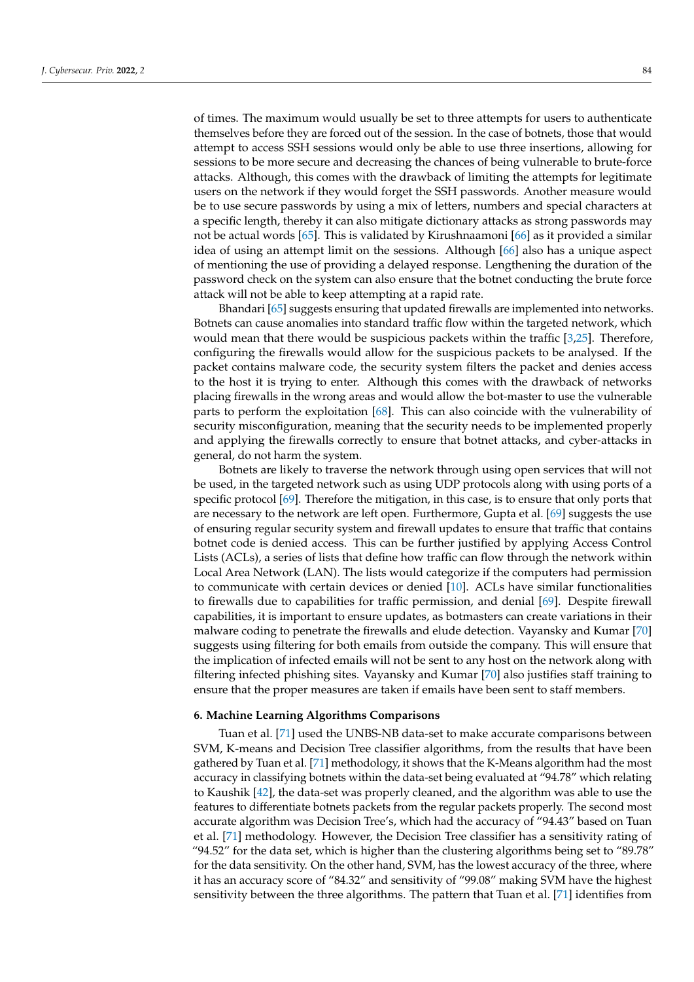of times. The maximum would usually be set to three attempts for users to authenticate themselves before they are forced out of the session. In the case of botnets, those that would attempt to access SSH sessions would only be able to use three insertions, allowing for sessions to be more secure and decreasing the chances of being vulnerable to brute-force attacks. Although, this comes with the drawback of limiting the attempts for legitimate users on the network if they would forget the SSH passwords. Another measure would be to use secure passwords by using a mix of letters, numbers and special characters at a specific length, thereby it can also mitigate dictionary attacks as strong passwords may not be actual words [\[65\]](#page-14-8). This is validated by Kirushnaamoni [\[66\]](#page-14-9) as it provided a similar idea of using an attempt limit on the sessions. Although [\[66\]](#page-14-9) also has a unique aspect of mentioning the use of providing a delayed response. Lengthening the duration of the password check on the system can also ensure that the botnet conducting the brute force attack will not be able to keep attempting at a rapid rate.

Bhandari [\[65\]](#page-14-8) suggests ensuring that updated firewalls are implemented into networks. Botnets can cause anomalies into standard traffic flow within the targeted network, which would mean that there would be suspicious packets within the traffic [\[3](#page-12-2)[,25\]](#page-12-23). Therefore, configuring the firewalls would allow for the suspicious packets to be analysed. If the packet contains malware code, the security system filters the packet and denies access to the host it is trying to enter. Although this comes with the drawback of networks placing firewalls in the wrong areas and would allow the bot-master to use the vulnerable parts to perform the exploitation [\[68\]](#page-14-11). This can also coincide with the vulnerability of security misconfiguration, meaning that the security needs to be implemented properly and applying the firewalls correctly to ensure that botnet attacks, and cyber-attacks in general, do not harm the system.

Botnets are likely to traverse the network through using open services that will not be used, in the targeted network such as using UDP protocols along with using ports of a specific protocol [\[69\]](#page-14-12). Therefore the mitigation, in this case, is to ensure that only ports that are necessary to the network are left open. Furthermore, Gupta et al. [\[69\]](#page-14-12) suggests the use of ensuring regular security system and firewall updates to ensure that traffic that contains botnet code is denied access. This can be further justified by applying Access Control Lists (ACLs), a series of lists that define how traffic can flow through the network within Local Area Network (LAN). The lists would categorize if the computers had permission to communicate with certain devices or denied [\[10\]](#page-12-9). ACLs have similar functionalities to firewalls due to capabilities for traffic permission, and denial [\[69\]](#page-14-12). Despite firewall capabilities, it is important to ensure updates, as botmasters can create variations in their malware coding to penetrate the firewalls and elude detection. Vayansky and Kumar [\[70\]](#page-14-13) suggests using filtering for both emails from outside the company. This will ensure that the implication of infected emails will not be sent to any host on the network along with filtering infected phishing sites. Vayansky and Kumar [\[70\]](#page-14-13) also justifies staff training to ensure that the proper measures are taken if emails have been sent to staff members.

#### <span id="page-10-0"></span>**6. Machine Learning Algorithms Comparisons**

Tuan et al. [\[71\]](#page-14-14) used the UNBS-NB data-set to make accurate comparisons between SVM, K-means and Decision Tree classifier algorithms, from the results that have been gathered by Tuan et al. [\[71\]](#page-14-14) methodology, it shows that the K-Means algorithm had the most accuracy in classifying botnets within the data-set being evaluated at "94.78" which relating to Kaushik [\[42\]](#page-13-11), the data-set was properly cleaned, and the algorithm was able to use the features to differentiate botnets packets from the regular packets properly. The second most accurate algorithm was Decision Tree's, which had the accuracy of "94.43" based on Tuan et al. [\[71\]](#page-14-14) methodology. However, the Decision Tree classifier has a sensitivity rating of "94.52" for the data set, which is higher than the clustering algorithms being set to "89.78" for the data sensitivity. On the other hand, SVM, has the lowest accuracy of the three, where it has an accuracy score of "84.32" and sensitivity of "99.08" making SVM have the highest sensitivity between the three algorithms. The pattern that Tuan et al. [\[71\]](#page-14-14) identifies from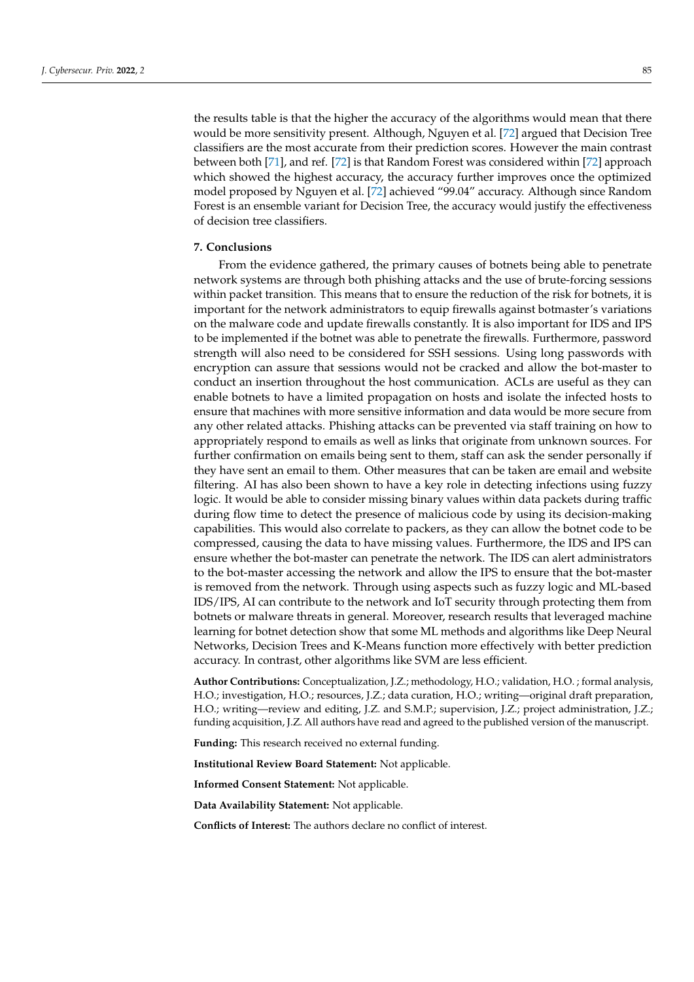the results table is that the higher the accuracy of the algorithms would mean that there would be more sensitivity present. Although, Nguyen et al. [\[72\]](#page-14-15) argued that Decision Tree classifiers are the most accurate from their prediction scores. However the main contrast between both [\[71\]](#page-14-14), and ref. [\[72\]](#page-14-15) is that Random Forest was considered within [\[72\]](#page-14-15) approach which showed the highest accuracy, the accuracy further improves once the optimized model proposed by Nguyen et al. [\[72\]](#page-14-15) achieved "99.04" accuracy. Although since Random Forest is an ensemble variant for Decision Tree, the accuracy would justify the effectiveness of decision tree classifiers.

## <span id="page-11-0"></span>**7. Conclusions**

From the evidence gathered, the primary causes of botnets being able to penetrate network systems are through both phishing attacks and the use of brute-forcing sessions within packet transition. This means that to ensure the reduction of the risk for botnets, it is important for the network administrators to equip firewalls against botmaster's variations on the malware code and update firewalls constantly. It is also important for IDS and IPS to be implemented if the botnet was able to penetrate the firewalls. Furthermore, password strength will also need to be considered for SSH sessions. Using long passwords with encryption can assure that sessions would not be cracked and allow the bot-master to conduct an insertion throughout the host communication. ACLs are useful as they can enable botnets to have a limited propagation on hosts and isolate the infected hosts to ensure that machines with more sensitive information and data would be more secure from any other related attacks. Phishing attacks can be prevented via staff training on how to appropriately respond to emails as well as links that originate from unknown sources. For further confirmation on emails being sent to them, staff can ask the sender personally if they have sent an email to them. Other measures that can be taken are email and website filtering. AI has also been shown to have a key role in detecting infections using fuzzy logic. It would be able to consider missing binary values within data packets during traffic during flow time to detect the presence of malicious code by using its decision-making capabilities. This would also correlate to packers, as they can allow the botnet code to be compressed, causing the data to have missing values. Furthermore, the IDS and IPS can ensure whether the bot-master can penetrate the network. The IDS can alert administrators to the bot-master accessing the network and allow the IPS to ensure that the bot-master is removed from the network. Through using aspects such as fuzzy logic and ML-based IDS/IPS, AI can contribute to the network and IoT security through protecting them from botnets or malware threats in general. Moreover, research results that leveraged machine learning for botnet detection show that some ML methods and algorithms like Deep Neural Networks, Decision Trees and K-Means function more effectively with better prediction accuracy. In contrast, other algorithms like SVM are less efficient.

**Author Contributions:** Conceptualization, J.Z.; methodology, H.O.; validation, H.O. ; formal analysis, H.O.; investigation, H.O.; resources, J.Z.; data curation, H.O.; writing—original draft preparation, H.O.; writing—review and editing, J.Z. and S.M.P.; supervision, J.Z.; project administration, J.Z.; funding acquisition, J.Z. All authors have read and agreed to the published version of the manuscript.

**Funding:** This research received no external funding.

**Institutional Review Board Statement:** Not applicable.

**Informed Consent Statement:** Not applicable.

**Data Availability Statement:** Not applicable.

**Conflicts of Interest:** The authors declare no conflict of interest.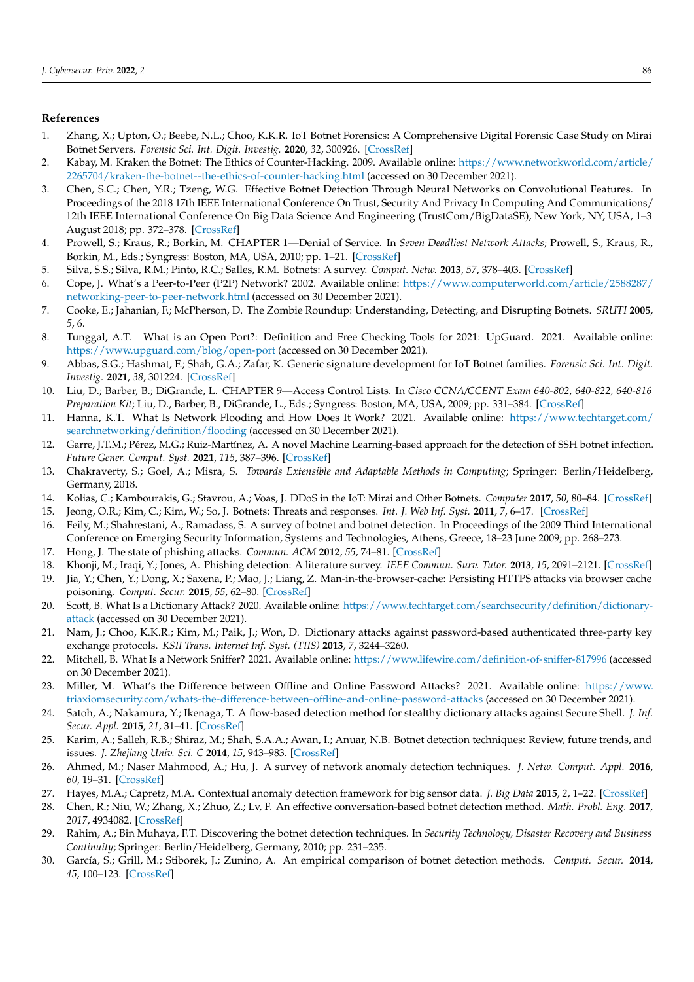## **References**

- <span id="page-12-0"></span>1. Zhang, X.; Upton, O.; Beebe, N.L.; Choo, K.K.R. IoT Botnet Forensics: A Comprehensive Digital Forensic Case Study on Mirai Botnet Servers. *Forensic Sci. Int. Digit. Investig.* **2020**, *32*, 300926. [\[CrossRef\]](http://doi.org/10.1016/j.fsidi.2020.300926)
- <span id="page-12-1"></span>2. Kabay, M. Kraken the Botnet: The Ethics of Counter-Hacking. 2009. Available online: [https://www.networkworld.com/article/](https://www.networkworld.com/article/ 2265704/kraken-the-botnet--the-ethics-of-counter-hacking.html) [2265704/kraken-the-botnet--the-ethics-of-counter-hacking.html](https://www.networkworld.com/article/ 2265704/kraken-the-botnet--the-ethics-of-counter-hacking.html) (accessed on 30 December 2021).
- <span id="page-12-2"></span>3. Chen, S.C.; Chen, Y.R.; Tzeng, W.G. Effective Botnet Detection Through Neural Networks on Convolutional Features. In Proceedings of the 2018 17th IEEE International Conference On Trust, Security And Privacy In Computing And Communications/ 12th IEEE International Conference On Big Data Science And Engineering (TrustCom/BigDataSE), New York, NY, USA, 1–3 August 2018; pp. 372–378. [\[CrossRef\]](http://dx.doi.org/10.1109/TrustCom/BigDataSE.2018.00062)
- <span id="page-12-3"></span>4. Prowell, S.; Kraus, R.; Borkin, M. CHAPTER 1—Denial of Service. In *Seven Deadliest Network Attacks*; Prowell, S., Kraus, R., Borkin, M., Eds.; Syngress: Boston, MA, USA, 2010; pp. 1–21. [\[CrossRef\]](http://dx.doi.org/10.1016/B978-1-59749-549-3.00001-8)
- <span id="page-12-4"></span>5. Silva, S.S.; Silva, R.M.; Pinto, R.C.; Salles, R.M. Botnets: A survey. *Comput. Netw.* **2013**, *57*, 378–403. [\[CrossRef\]](http://dx.doi.org/10.1016/j.comnet.2012.07.021)
- <span id="page-12-5"></span>6. Cope, J. What's a Peer-to-Peer (P2P) Network? 2002. Available online: [https://www.computerworld.com/article/2588287/](https://www.computerworld.com/article/2588287/ networking-peer-to-peer-network.html) [networking-peer-to-peer-network.html](https://www.computerworld.com/article/2588287/ networking-peer-to-peer-network.html) (accessed on 30 December 2021).
- <span id="page-12-6"></span>7. Cooke, E.; Jahanian, F.; McPherson, D. The Zombie Roundup: Understanding, Detecting, and Disrupting Botnets. *SRUTI* **2005**, *5*, 6.
- <span id="page-12-7"></span>8. Tunggal, A.T. What is an Open Port?: Definition and Free Checking Tools for 2021: UpGuard. 2021. Available online: <https://www.upguard.com/blog/open-port> (accessed on 30 December 2021).
- <span id="page-12-8"></span>9. Abbas, S.G.; Hashmat, F.; Shah, G.A.; Zafar, K. Generic signature development for IoT Botnet families. *Forensic Sci. Int. Digit. Investig.* **2021**, *38*, 301224. [\[CrossRef\]](http://dx.doi.org/10.1016/j.fsidi.2021.301224)
- <span id="page-12-9"></span>10. Liu, D.; Barber, B.; DiGrande, L. CHAPTER 9—Access Control Lists. In *Cisco CCNA/CCENT Exam 640-802, 640-822, 640-816 Preparation Kit*; Liu, D., Barber, B., DiGrande, L., Eds.; Syngress: Boston, MA, USA, 2009; pp. 331–384. [\[CrossRef\]](http://dx.doi.org/10.1016/B978-1-59749-306-2.00013-0)
- <span id="page-12-10"></span>11. Hanna, K.T. What Is Network Flooding and How Does It Work? 2021. Available online: [https://www.techtarget.com/](https://www.techtarget.com/searchnetworking/definition/flooding) [searchnetworking/definition/flooding](https://www.techtarget.com/searchnetworking/definition/flooding) (accessed on 30 December 2021).
- <span id="page-12-11"></span>12. Garre, J.T.M.; Pérez, M.G.; Ruiz-Martínez, A. A novel Machine Learning-based approach for the detection of SSH botnet infection. *Future Gener. Comput. Syst.* **2021**, *115*, 387–396. [\[CrossRef\]](http://dx.doi.org/10.1016/j.future.2020.09.004)
- 13. Chakraverty, S.; Goel, A.; Misra, S. *Towards Extensible and Adaptable Methods in Computing*; Springer: Berlin/Heidelberg, Germany, 2018.
- <span id="page-12-12"></span>14. Kolias, C.; Kambourakis, G.; Stavrou, A.; Voas, J. DDoS in the IoT: Mirai and Other Botnets. *Computer* **2017**, *50*, 80–84. [\[CrossRef\]](http://dx.doi.org/10.1109/MC.2017.201)
- <span id="page-12-13"></span>15. Jeong, O.R.; Kim, C.; Kim, W.; So, J. Botnets: Threats and responses. *Int. J. Web Inf. Syst.* **2011**, *7*, 6–17. [\[CrossRef\]](http://dx.doi.org/10.1108/17440081111125635)
- <span id="page-12-14"></span>16. Feily, M.; Shahrestani, A.; Ramadass, S. A survey of botnet and botnet detection. In Proceedings of the 2009 Third International Conference on Emerging Security Information, Systems and Technologies, Athens, Greece, 18–23 June 2009; pp. 268–273.
- <span id="page-12-15"></span>17. Hong, J. The state of phishing attacks. *Commun. ACM* **2012**, *55*, 74–81. [\[CrossRef\]](http://dx.doi.org/10.1145/2063176.2063197)
- <span id="page-12-16"></span>18. Khonji, M.; Iraqi, Y.; Jones, A. Phishing detection: A literature survey. *IEEE Commun. Surv. Tutor.* **2013**, *15*, 2091–2121. [\[CrossRef\]](http://dx.doi.org/10.1109/SURV.2013.032213.00009)
- <span id="page-12-17"></span>19. Jia, Y.; Chen, Y.; Dong, X.; Saxena, P.; Mao, J.; Liang, Z. Man-in-the-browser-cache: Persisting HTTPS attacks via browser cache poisoning. *Comput. Secur.* **2015**, *55*, 62–80. [\[CrossRef\]](http://dx.doi.org/10.1016/j.cose.2015.07.004)
- <span id="page-12-18"></span>20. Scott, B. What Is a Dictionary Attack? 2020. Available online: [https://www.techtarget.com/searchsecurity/definition/dictionary](https://www.techtarget.com/searchsecurity/definition/dictionary-attack)[attack](https://www.techtarget.com/searchsecurity/definition/dictionary-attack) (accessed on 30 December 2021).
- <span id="page-12-19"></span>21. Nam, J.; Choo, K.K.R.; Kim, M.; Paik, J.; Won, D. Dictionary attacks against password-based authenticated three-party key exchange protocols. *KSII Trans. Internet Inf. Syst. (TIIS)* **2013**, *7*, 3244–3260.
- <span id="page-12-20"></span>22. Mitchell, B. What Is a Network Sniffer? 2021. Available online: <https://www.lifewire.com/definition-of-sniffer-817996> (accessed on 30 December 2021).
- <span id="page-12-21"></span>23. Miller, M. What's the Difference between Offline and Online Password Attacks? 2021. Available online: [https://www.](https://www.triaxiomsecurity.com/whats-the-difference-between-offline-and-online-password-attacks) [triaxiomsecurity.com/whats-the-difference-between-offline-and-online-password-attacks](https://www.triaxiomsecurity.com/whats-the-difference-between-offline-and-online-password-attacks) (accessed on 30 December 2021).
- <span id="page-12-22"></span>24. Satoh, A.; Nakamura, Y.; Ikenaga, T. A flow-based detection method for stealthy dictionary attacks against Secure Shell. *J. Inf. Secur. Appl.* **2015**, *21*, 31–41. [\[CrossRef\]](http://dx.doi.org/10.1016/j.jisa.2014.08.003)
- <span id="page-12-23"></span>25. Karim, A.; Salleh, R.B.; Shiraz, M.; Shah, S.A.A.; Awan, I.; Anuar, N.B. Botnet detection techniques: Review, future trends, and issues. *J. Zhejiang Univ. Sci. C* **2014**, *15*, 943–983. [\[CrossRef\]](http://dx.doi.org/10.1631/jzus.C1300242)
- <span id="page-12-24"></span>26. Ahmed, M.; Naser Mahmood, A.; Hu, J. A survey of network anomaly detection techniques. *J. Netw. Comput. Appl.* **2016**, *60*, 19–31. [\[CrossRef\]](http://dx.doi.org/10.1016/j.jnca.2015.11.016)
- <span id="page-12-25"></span>27. Hayes, M.A.; Capretz, M.A. Contextual anomaly detection framework for big sensor data. *J. Big Data* **2015**, *2*, 1–22. [\[CrossRef\]](http://dx.doi.org/10.1186/s40537-014-0011-y)
- <span id="page-12-26"></span>28. Chen, R.; Niu, W.; Zhang, X.; Zhuo, Z.; Lv, F. An effective conversation-based botnet detection method. *Math. Probl. Eng.* **2017**, *2017*, 4934082. [\[CrossRef\]](http://dx.doi.org/10.1155/2017/4934082)
- <span id="page-12-27"></span>29. Rahim, A.; Bin Muhaya, F.T. Discovering the botnet detection techniques. In *Security Technology, Disaster Recovery and Business Continuity*; Springer: Berlin/Heidelberg, Germany, 2010; pp. 231–235.
- <span id="page-12-28"></span>30. García, S.; Grill, M.; Stiborek, J.; Zunino, A. An empirical comparison of botnet detection methods. *Comput. Secur.* **2014**, *45*, 100–123. [\[CrossRef\]](http://dx.doi.org/10.1016/j.cose.2014.05.011)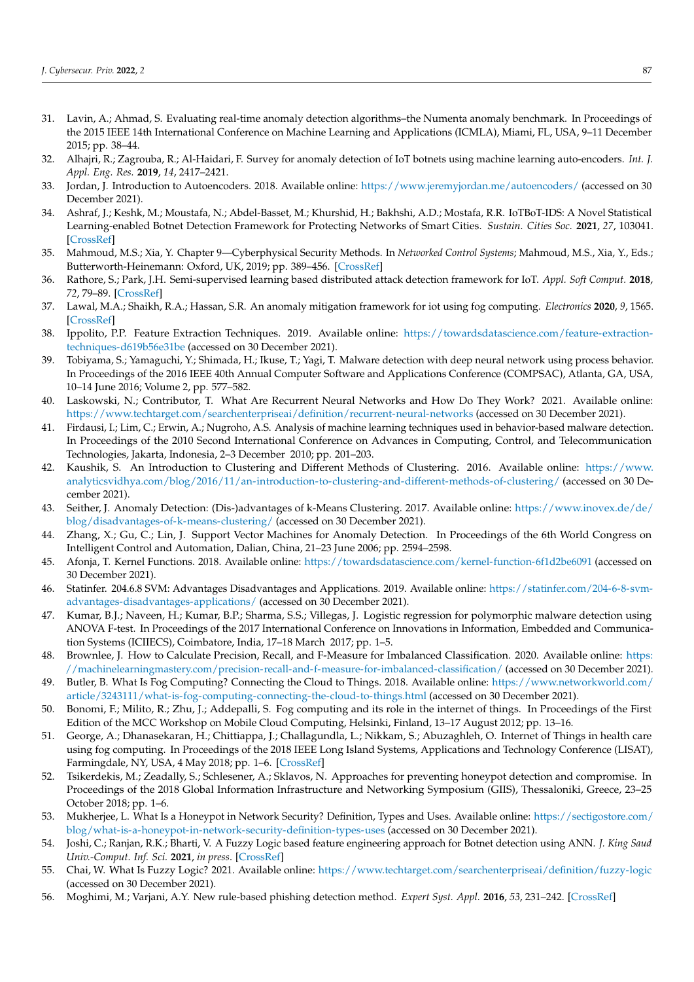- <span id="page-13-0"></span>31. Lavin, A.; Ahmad, S. Evaluating real-time anomaly detection algorithms–the Numenta anomaly benchmark. In Proceedings of the 2015 IEEE 14th International Conference on Machine Learning and Applications (ICMLA), Miami, FL, USA, 9–11 December 2015; pp. 38–44.
- <span id="page-13-1"></span>32. Alhajri, R.; Zagrouba, R.; Al-Haidari, F. Survey for anomaly detection of IoT botnets using machine learning auto-encoders. *Int. J. Appl. Eng. Res.* **2019**, *14*, 2417–2421.
- <span id="page-13-2"></span>33. Jordan, J. Introduction to Autoencoders. 2018. Available online: <https://www.jeremyjordan.me/autoencoders/> (accessed on 30 December 2021).
- <span id="page-13-3"></span>34. Ashraf, J.; Keshk, M.; Moustafa, N.; Abdel-Basset, M.; Khurshid, H.; Bakhshi, A.D.; Mostafa, R.R. IoTBoT-IDS: A Novel Statistical Learning-enabled Botnet Detection Framework for Protecting Networks of Smart Cities. *Sustain. Cities Soc.* **2021**, *27*, 103041. [\[CrossRef\]](http://dx.doi.org/10.1016/j.scs.2021.103041)
- <span id="page-13-4"></span>35. Mahmoud, M.S.; Xia, Y. Chapter 9—Cyberphysical Security Methods. In *Networked Control Systems*; Mahmoud, M.S., Xia, Y., Eds.; Butterworth-Heinemann: Oxford, UK, 2019; pp. 389–456. [\[CrossRef\]](http://dx.doi.org/10.1016/B978-0-12-816119-7.00017-4)
- <span id="page-13-5"></span>36. Rathore, S.; Park, J.H. Semi-supervised learning based distributed attack detection framework for IoT. *Appl. Soft Comput.* **2018**, *72*, 79–89. [\[CrossRef\]](http://dx.doi.org/10.1016/j.asoc.2018.05.049)
- <span id="page-13-6"></span>37. Lawal, M.A.; Shaikh, R.A.; Hassan, S.R. An anomaly mitigation framework for iot using fog computing. *Electronics* **2020**, *9*, 1565. [\[CrossRef\]](http://dx.doi.org/10.3390/electronics9101565)
- <span id="page-13-7"></span>38. Ippolito, P.P. Feature Extraction Techniques. 2019. Available online: [https://towardsdatascience.com/feature-extraction](https://towardsdatascience.com/feature-extraction-techniques-d619b56e31be)[techniques-d619b56e31be](https://towardsdatascience.com/feature-extraction-techniques-d619b56e31be) (accessed on 30 December 2021).
- <span id="page-13-8"></span>39. Tobiyama, S.; Yamaguchi, Y.; Shimada, H.; Ikuse, T.; Yagi, T. Malware detection with deep neural network using process behavior. In Proceedings of the 2016 IEEE 40th Annual Computer Software and Applications Conference (COMPSAC), Atlanta, GA, USA, 10–14 June 2016; Volume 2, pp. 577–582.
- <span id="page-13-9"></span>40. Laskowski, N.; Contributor, T. What Are Recurrent Neural Networks and How Do They Work? 2021. Available online: <https://www.techtarget.com/searchenterpriseai/definition/recurrent-neural-networks> (accessed on 30 December 2021).
- <span id="page-13-10"></span>41. Firdausi, I.; Lim, C.; Erwin, A.; Nugroho, A.S. Analysis of machine learning techniques used in behavior-based malware detection. In Proceedings of the 2010 Second International Conference on Advances in Computing, Control, and Telecommunication Technologies, Jakarta, Indonesia, 2–3 December 2010; pp. 201–203.
- <span id="page-13-11"></span>42. Kaushik, S. An Introduction to Clustering and Different Methods of Clustering. 2016. Available online: [https://www.](https://www. analyticsvidhya.com/blog/2016/11/an-introduction-to-clustering-and-different-methods-of-clustering/) [analyticsvidhya.com/blog/2016/11/an-introduction-to-clustering-and-different-methods-of-clustering/](https://www. analyticsvidhya.com/blog/2016/11/an-introduction-to-clustering-and-different-methods-of-clustering/) (accessed on 30 December 2021).
- <span id="page-13-12"></span>43. Seither, J. Anomaly Detection: (Dis-)advantages of k-Means Clustering. 2017. Available online: [https://www.inovex.de/de/](https://www.inovex.de/de/blog/disadvantages-of-k-means-clustering/) [blog/disadvantages-of-k-means-clustering/](https://www.inovex.de/de/blog/disadvantages-of-k-means-clustering/) (accessed on 30 December 2021).
- <span id="page-13-13"></span>44. Zhang, X.; Gu, C.; Lin, J. Support Vector Machines for Anomaly Detection. In Proceedings of the 6th World Congress on Intelligent Control and Automation, Dalian, China, 21–23 June 2006; pp. 2594–2598.
- <span id="page-13-14"></span>45. Afonja, T. Kernel Functions. 2018. Available online: <https://towardsdatascience.com/kernel-function-6f1d2be6091> (accessed on 30 December 2021).
- <span id="page-13-15"></span>46. Statinfer. 204.6.8 SVM: Advantages Disadvantages and Applications. 2019. Available online: [https://statinfer.com/204-6-8-svm](https://statinfer.com/204-6-8-svm-advantages-disadvantages-applications/)[advantages-disadvantages-applications/](https://statinfer.com/204-6-8-svm-advantages-disadvantages-applications/) (accessed on 30 December 2021).
- <span id="page-13-16"></span>47. Kumar, B.J.; Naveen, H.; Kumar, B.P.; Sharma, S.S.; Villegas, J. Logistic regression for polymorphic malware detection using ANOVA F-test. In Proceedings of the 2017 International Conference on Innovations in Information, Embedded and Communication Systems (ICIIECS), Coimbatore, India, 17–18 March 2017; pp. 1–5.
- <span id="page-13-17"></span>48. Brownlee, J. How to Calculate Precision, Recall, and F-Measure for Imbalanced Classification. 2020. Available online: [https:](https://machinelearningmastery.com/precision-recall-and-f-measure-for-imbalanced-classification/) [//machinelearningmastery.com/precision-recall-and-f-measure-for-imbalanced-classification/](https://machinelearningmastery.com/precision-recall-and-f-measure-for-imbalanced-classification/) (accessed on 30 December 2021).
- <span id="page-13-18"></span>49. Butler, B. What Is Fog Computing? Connecting the Cloud to Things. 2018. Available online: [https://www.networkworld.com/](https://www.networkworld.com/article/3243111/what-is-fog-computing-connecting-the-cloud-to-things.html) [article/3243111/what-is-fog-computing-connecting-the-cloud-to-things.html](https://www.networkworld.com/article/3243111/what-is-fog-computing-connecting-the-cloud-to-things.html) (accessed on 30 December 2021).
- <span id="page-13-19"></span>50. Bonomi, F.; Milito, R.; Zhu, J.; Addepalli, S. Fog computing and its role in the internet of things. In Proceedings of the First Edition of the MCC Workshop on Mobile Cloud Computing, Helsinki, Finland, 13–17 August 2012; pp. 13–16.
- <span id="page-13-20"></span>51. George, A.; Dhanasekaran, H.; Chittiappa, J.; Challagundla, L.; Nikkam, S.; Abuzaghleh, O. Internet of Things in health care using fog computing. In Proceedings of the 2018 IEEE Long Island Systems, Applications and Technology Conference (LISAT), Farmingdale, NY, USA, 4 May 2018; pp. 1-6. [\[CrossRef\]](http://dx.doi.org/10.1109/LISAT.2018.8378012)
- <span id="page-13-21"></span>52. Tsikerdekis, M.; Zeadally, S.; Schlesener, A.; Sklavos, N. Approaches for preventing honeypot detection and compromise. In Proceedings of the 2018 Global Information Infrastructure and Networking Symposium (GIIS), Thessaloniki, Greece, 23–25 October 2018; pp. 1–6.
- <span id="page-13-22"></span>53. Mukherjee, L. What Is a Honeypot in Network Security? Definition, Types and Uses. Available online: [https://sectigostore.com/](https://sectigostore.com/blog/what-is-a-honeypot-in-network-security-definition-types-uses) [blog/what-is-a-honeypot-in-network-security-definition-types-uses](https://sectigostore.com/blog/what-is-a-honeypot-in-network-security-definition-types-uses) (accessed on 30 December 2021).
- <span id="page-13-23"></span>54. Joshi, C.; Ranjan, R.K.; Bharti, V. A Fuzzy Logic based feature engineering approach for Botnet detection using ANN. *J. King Saud Univ.-Comput. Inf. Sci.* **2021**, *in press*. [\[CrossRef\]](http://dx.doi.org/10.1016/j.jksuci.2021.06.018)
- <span id="page-13-24"></span>55. Chai, W. What Is Fuzzy Logic? 2021. Available online: <https://www.techtarget.com/searchenterpriseai/definition/fuzzy-logic> (accessed on 30 December 2021).
- <span id="page-13-25"></span>56. Moghimi, M.; Varjani, A.Y. New rule-based phishing detection method. *Expert Syst. Appl.* **2016**, *53*, 231–242. [\[CrossRef\]](http://dx.doi.org/10.1016/j.eswa.2016.01.028)